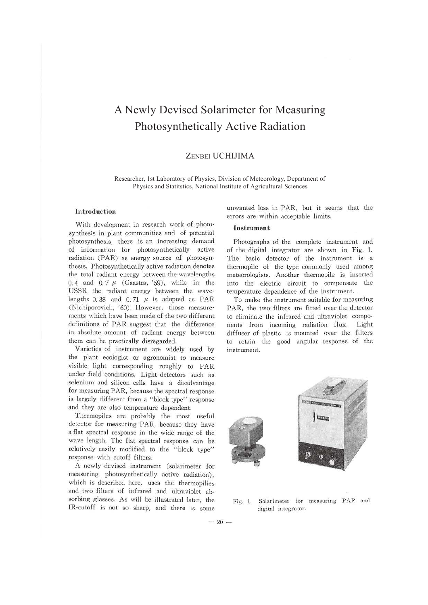# A Newly Devised Solarimeter for Measuring Photosynthetically Active Radiation

## ZENBEI UCHIJIMA

Researcher, 1st Laboratory of Physics, Division of Meteorology, Department of Physics and Statitstics, National Institute of Agricultural Sciences

### **Introduction**

With development in research work of photosynthesis in plant communities and of potential photosynthesis, there is an increasing demand of information for photosynthetically active radiation (PAR) as energy source of photosynthesis. Photosynthetically active radiation denotes the total radiant energy between the wavelengths 0. 4 and 0. 7 *µ* (Gaastra, '59), while in the USSR the radiant energy between the wavelengths  $0.38$  and  $0.71$   $\mu$  is adopted as PAR (Nichiporovich, '60). However, those measurements which have been made of the two different definitions of PAR suggest that the difference in absolute amount of radiant energy between them can be practically disregarded.

Varieties of instrument are widely used by the plant ecologist or agronomist to measure visible light corresponding roughly to PAR under field conditions. Light detectors such as selenium and silicon cells have a disadvantage for measuring PAR, because the spectral response is largely different from a "block type" response and they are also temperature dependent.

Thermopiles are probably the most useful detector for measuring PAR, because they have a flat spectral response in the wide range of the wave length. The flat spectral response can be relatively easily modified to the "block type" response with cutoff filters.

A newly devised instrument (solarimeter for measuring photosynthetically active radiation), which is described here, uses the thermopilies and two filters of infrared and ultraviolet absorbing glasses. As will be illustrated later, the IR-cutoff is not so sharp, and there is some unwanted loss in PAR, but it seems that the errors are within acceptable limits.

## **Instrument**

Photographs of the complete instrument and of the digital integrator are shown in Fig. 1. The basic detector of the instrument is a thermopile of the type commonly used among meteorologists. Another thermopile is inserted into the electric circuit to compensate the temperature dependence of the instrument.

To make the instrument suitable for measuring PAR, the two filters are fitted over the detector to eliminate the infrared and ultraviolet components from incoming radiation flux. Light diffuser of plastic is mounted over the filters to retain the good angular response of the instrument.



Fig. 1. Solarimeter for measuring PAR and digital integrator.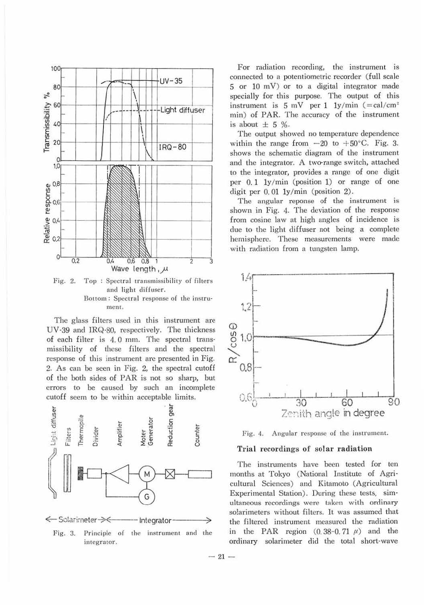

Fig. 2. Top: Spectral transmissibility of filters and light diffuser. Bottom: Spectral response of the instrument.

The glass filters used in this instrument are UV-39 and IRQ-80, respectively. The thickness of each filter is 4.0 mm. The spectral transmissibility of these filters and the spectral response of this instrument are presented in Fig. 2. As can be seen in Fig. 2, the spectral cutoff of the both sides of PAR is not so sharp, but errors to be caused by such an incomplete cutoff seem to be within acceptable limits.



Principle of the instrument and the Fig. 3. integrator.

For radiation recording, the instrument is connected to a potentiometric recorder (full scale 5 or 10 mV) or to a digital integrator made specially for this purpose. The output of this instrument is  $5 \text{ mV}$  per 1 1y/min (=cal/cm<sup>2</sup>) min) of PAR. The accuracy of the instrument is about  $\pm$  5 %.

The output showed no temperature dependence within the range from  $-20$  to  $+50^{\circ}$ C. Fig. 3. shows the schematic diagram of the instrument and the integrator. A two-range switch, attached to the integrator, provides a range of one digit per  $0.1 \frac{1}{y/min}$  (position 1) or range of one digit per  $0.01 \frac{1}{y/min}$  (position 2).

The angular reponse of the instrument is shown in Fig. 4. The deviation of the response from cosine law at high angles of incidence is due to the light diffuser not being a complete hemisphere. These measurements were made with radiation from a tungsten lamp.





#### Trial recordings of solar radiation

The instruments have been tested for ten months at Tokyo (National Institute of Agricultural Sciences) and Kitamoto (Agricultural Experimental Station). During these tests, simultaneous recordings were taken with ordinary solarimeters without filters. It was assumed that the filtered instrument measured the radiation in the PAR region  $(0.38-0.71 \mu)$  and the ordinary solarimeter did the total short-wave